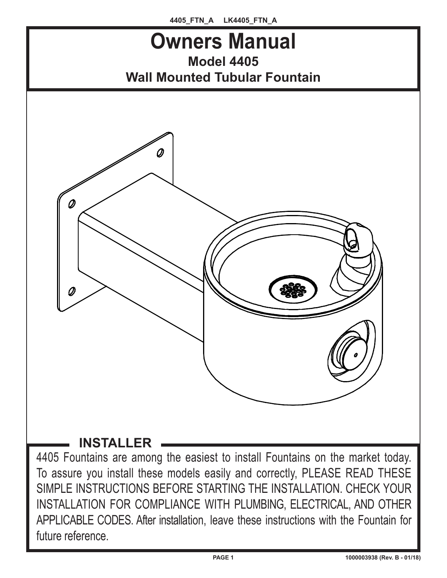

INSTALLATION FOR COMPLIANCE WITH PLUMBING, ELECTRICAL, AND OTHER APPLICABLE CODES. After installation, leave these instructions with the Fountain for future reference.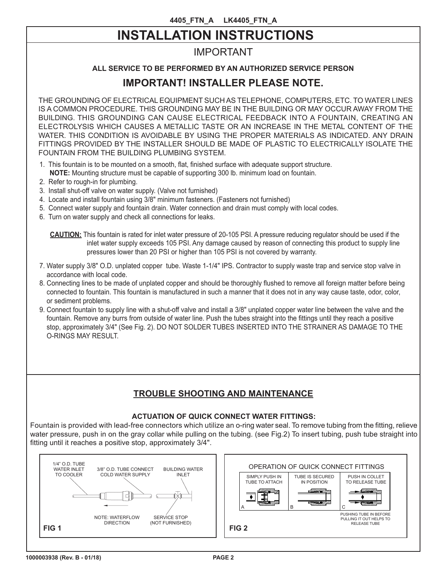# **INSTALLATION INSTRUCTIONS**

## IMPORTANT

#### **ALL SERVICE TO BE PERFORMED BY AN AUTHORIZED SERVICE PERSON**

### **IMPORTANT! INSTALLER PLEASE NOTE.**

THE GROUNDING OF ELECTRICAL EQUIPMENT SUCH AS TELEPHONE, COMPUTERS, ETC. TO WATER LINES IS A COMMON PROCEDURE. THIS GROUNDING MAY BE IN THE BUILDING OR MAY OCCUR AWAY FROM THE BUILDING. THIS GROUNDING CAN CAUSE ELECTRICAL FEEDBACK INTO A FOUNTAIN, CREATING AN ELECTROLYSIS WHICH CAUSES A METALLIC TASTE OR AN INCREASE IN THE METAL CONTENT OF THE WATER. THIS CONDITION IS AVOIDABLE BY USING THE PROPER MATERIALS AS INDICATED. ANY DRAIN FITTINGS PROVIDED BY THE INSTALLER SHOULD BE MADE OF PLASTIC TO ELECTRICALLY ISOLATE THE FOUNTAIN FROM THE BUILDING PLUMBING SYSTEM.

- 1. This fountain is to be mounted on a smooth, flat, finished surface with adequate support structure. **NOTE:** Mounting structure must be capable of supporting 300 lb. minimum load on fountain.
- 2. Refer to rough-in for plumbing.
- 3. Install shut-off valve on water supply. (Valve not furnished)
- 4. Locate and install fountain using 3/8" minimum fasteners. (Fasteners not furnished)
- 5. Connect water supply and fountain drain. Water connection and drain must comply with local codes.
- 6. Turn on water supply and check all connections for leaks.

 **CAUTION:** This fountain is rated for inlet water pressure of 20-105 PSI. A pressure reducing regulator should be used if the inlet water supply exceeds 105 PSI. Any damage caused by reason of connecting this product to supply line pressures lower than 20 PSI or higher than 105 PSI is not covered by warranty.

- 7. Water supply 3/8" O.D. unplated copper tube. Waste 1-1/4" IPS. Contractor to supply waste trap and service stop valve in accordance with local code.
- 8. Connecting lines to be made of unplated copper and should be thoroughly flushed to remove all foreign matter before being connected to fountain. This fountain is manufactured in such a manner that it does not in any way cause taste, odor, color, or sediment problems.
- 9. Connect fountain to supply line with a shut-off valve and install a 3/8" unplated copper water line between the valve and the fountain. Remove any burrs from outside of water line. Push the tubes straight into the fittings until they reach a positive stop, approximately 3/4" (See Fig. 2). DO NOT SOLDER TUBES INSERTED INTO THE STRAINER AS DAMAGE TO THE O-RINGS MAY RESULT.

#### **TROUBLE SHOOTING AND MAINTENANCE**

#### **ACTUATION OF QUICK CONNECT WATER FITTINGS:**

Fountain is provided with lead-free connectors which utilize an o-ring water seal. To remove tubing from the fitting, relieve water pressure, push in on the gray collar while pulling on the tubing. (see Fig.2) To insert tubing, push tube straight into fitting until it reaches a positive stop, approximately 3/4".

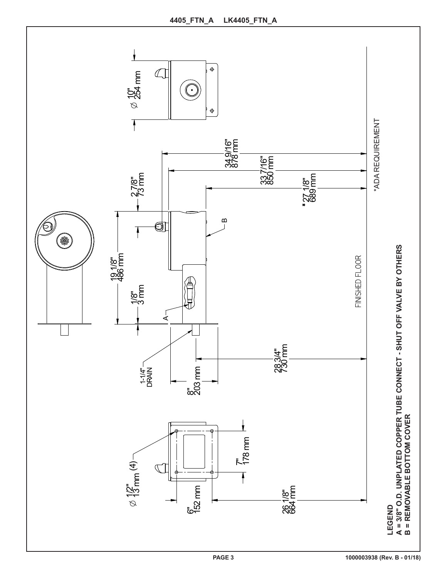